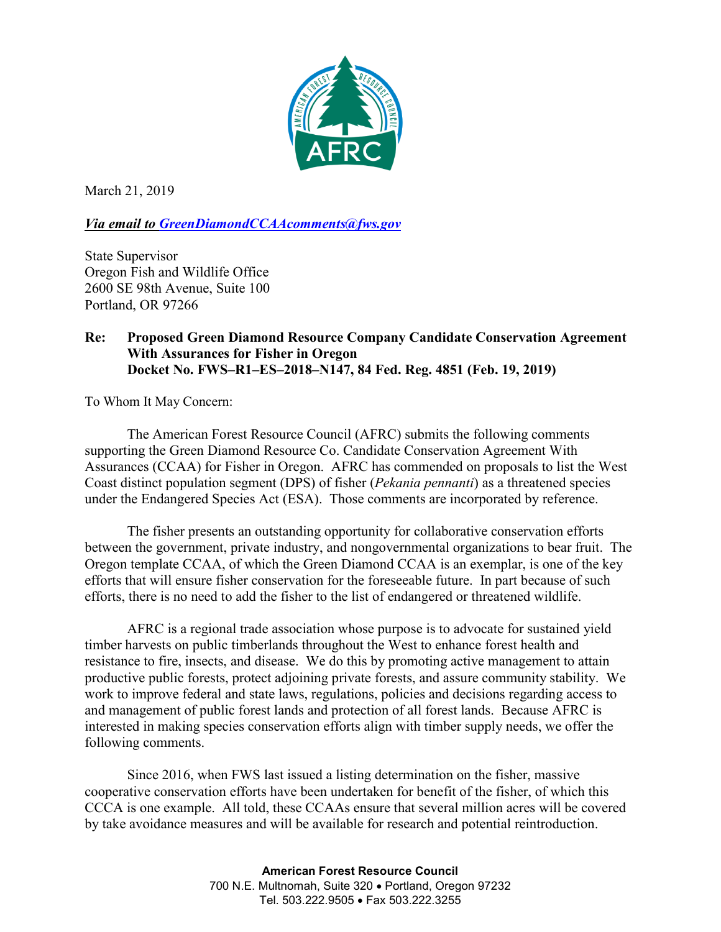

March 21, 2019

*Via email to [GreenDiamondCCAAcomments@fws.gov](mailto:GreenDiamondCCAAcomments@fws.gov)*

State Supervisor Oregon Fish and Wildlife Office 2600 SE 98th Avenue, Suite 100 Portland, OR 97266

## **Re: Proposed Green Diamond Resource Company Candidate Conservation Agreement With Assurances for Fisher in Oregon Docket No. FWS–R1–ES–2018–N147, 84 Fed. Reg. 4851 (Feb. 19, 2019)**

To Whom It May Concern:

The American Forest Resource Council (AFRC) submits the following comments supporting the Green Diamond Resource Co. Candidate Conservation Agreement With Assurances (CCAA) for Fisher in Oregon. AFRC has commended on proposals to list the West Coast distinct population segment (DPS) of fisher (*Pekania pennanti*) as a threatened species under the Endangered Species Act (ESA). Those comments are incorporated by reference.

The fisher presents an outstanding opportunity for collaborative conservation efforts between the government, private industry, and nongovernmental organizations to bear fruit. The Oregon template CCAA, of which the Green Diamond CCAA is an exemplar, is one of the key efforts that will ensure fisher conservation for the foreseeable future. In part because of such efforts, there is no need to add the fisher to the list of endangered or threatened wildlife.

AFRC is a regional trade association whose purpose is to advocate for sustained yield timber harvests on public timberlands throughout the West to enhance forest health and resistance to fire, insects, and disease. We do this by promoting active management to attain productive public forests, protect adjoining private forests, and assure community stability. We work to improve federal and state laws, regulations, policies and decisions regarding access to and management of public forest lands and protection of all forest lands. Because AFRC is interested in making species conservation efforts align with timber supply needs, we offer the following comments.

Since 2016, when FWS last issued a listing determination on the fisher, massive cooperative conservation efforts have been undertaken for benefit of the fisher, of which this CCCA is one example. All told, these CCAAs ensure that several million acres will be covered by take avoidance measures and will be available for research and potential reintroduction.

> **American Forest Resource Council** 700 N.E. Multnomah, Suite 320 • Portland, Oregon 97232 Tel. 503.222.9505 • Fax 503.222.3255